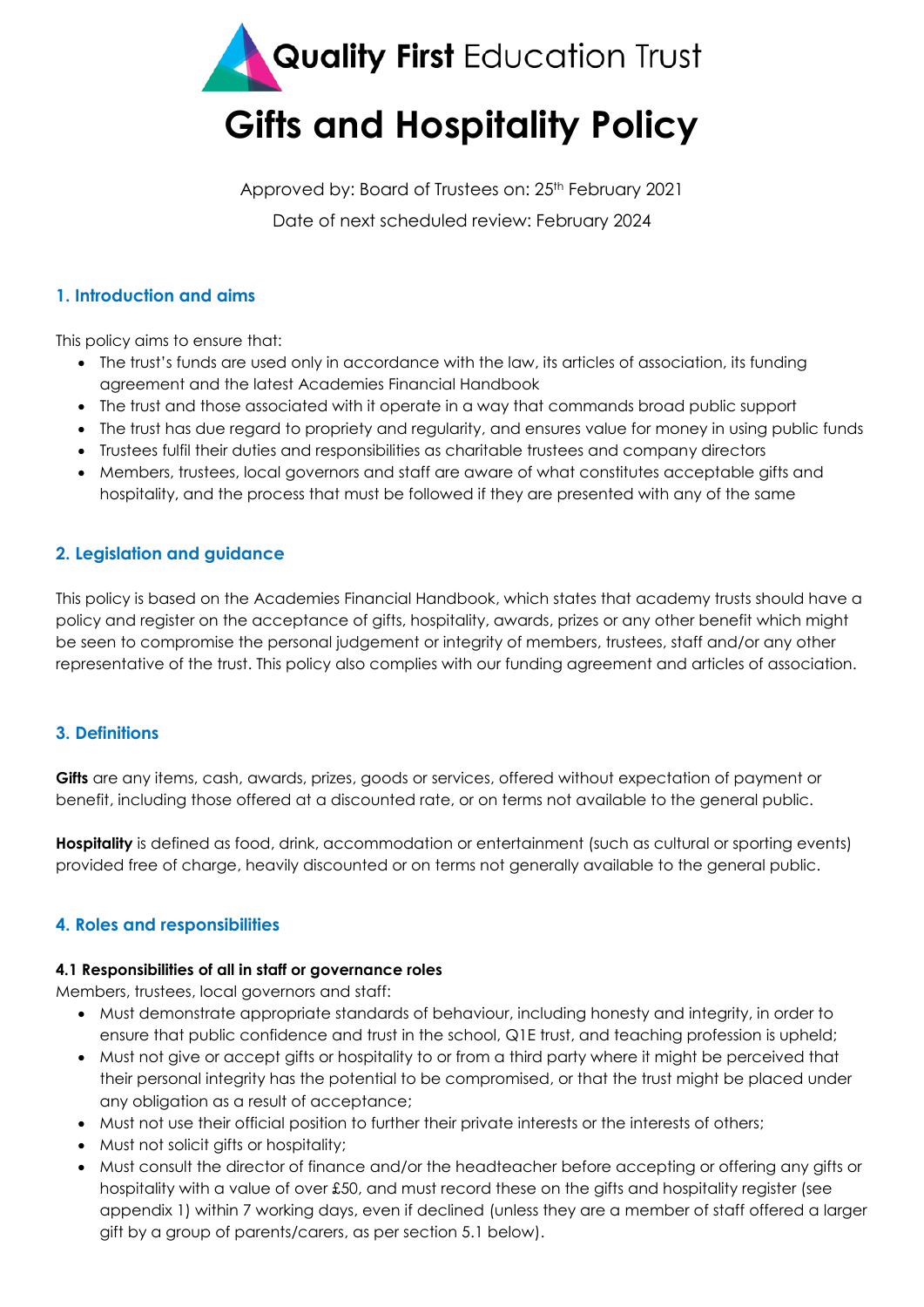

**Gifts and Hospitality Policy**

Approved by: Board of Trustees on: 25<sup>th</sup> February 2021 Date of next scheduled review: February 2024

#### **1. Introduction and aims**

This policy aims to ensure that:

- The trust's funds are used only in accordance with the law, its articles of association, its funding agreement and the latest Academies Financial Handbook
- The trust and those associated with it operate in a way that commands broad public support
- The trust has due regard to propriety and regularity, and ensures value for money in using public funds
- Trustees fulfil their duties and responsibilities as charitable trustees and company directors
- Members, trustees, local governors and staff are aware of what constitutes acceptable gifts and hospitality, and the process that must be followed if they are presented with any of the same

## **2. Legislation and guidance**

This policy is based on the Academies Financial Handbook, which states that academy trusts should have a policy and register on the acceptance of gifts, hospitality, awards, prizes or any other benefit which might be seen to compromise the personal judgement or integrity of members, trustees, staff and/or any other representative of the trust. This policy also complies with our funding agreement and articles of association.

## **3. Definitions**

**Gifts** are any items, cash, awards, prizes, goods or services, offered without expectation of payment or benefit, including those offered at a discounted rate, or on terms not available to the general public.

**Hospitality** is defined as food, drink, accommodation or entertainment (such as cultural or sporting events) provided free of charge, heavily discounted or on terms not generally available to the general public.

## **4. Roles and responsibilities**

#### **4.1 Responsibilities of all in staff or governance roles**

Members, trustees, local governors and staff:

- Must demonstrate appropriate standards of behaviour, including honesty and integrity, in order to ensure that public confidence and trust in the school, Q1E trust, and teaching profession is upheld;
- Must not give or accept gifts or hospitality to or from a third party where it might be perceived that their personal integrity has the potential to be compromised, or that the trust might be placed under any obligation as a result of acceptance;
- Must not use their official position to further their private interests or the interests of others;
- Must not solicit gifts or hospitality;
- Must consult the director of finance and/or the headteacher before accepting or offering any gifts or hospitality with a value of over £50, and must record these on the gifts and hospitality register (see appendix 1) within 7 working days, even if declined (unless they are a member of staff offered a larger gift by a group of parents/carers, as per section 5.1 below).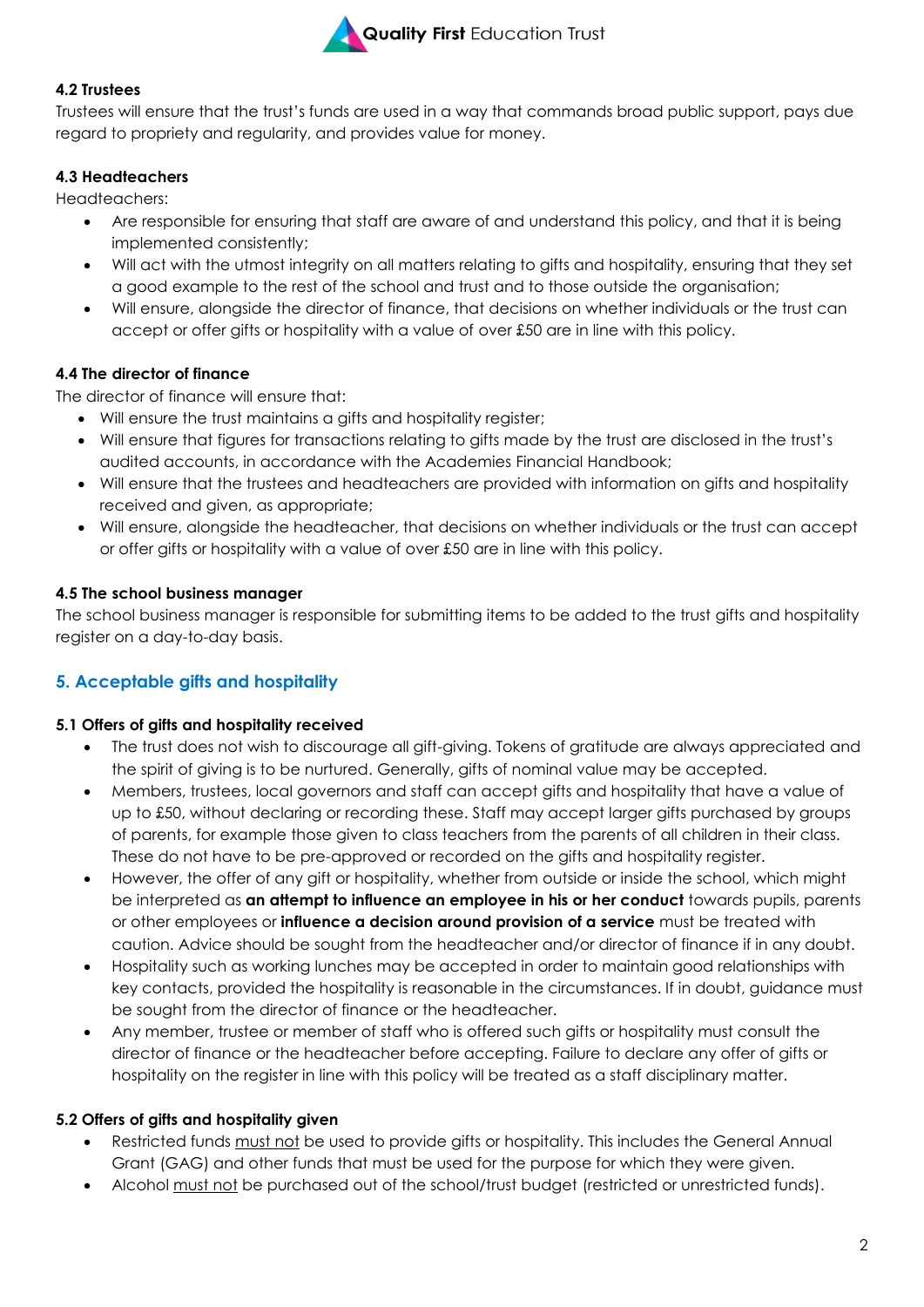

#### **4.2 Trustees**

Trustees will ensure that the trust's funds are used in a way that commands broad public support, pays due regard to propriety and regularity, and provides value for money.

## **4.3 Headteachers**

Headteachers:

- Are responsible for ensuring that staff are aware of and understand this policy, and that it is being implemented consistently;
- Will act with the utmost integrity on all matters relating to gifts and hospitality, ensuring that they set a good example to the rest of the school and trust and to those outside the organisation;
- Will ensure, alongside the director of finance, that decisions on whether individuals or the trust can accept or offer gifts or hospitality with a value of over £50 are in line with this policy.

## **4.4 The director of finance**

The director of finance will ensure that:

- Will ensure the trust maintains a gifts and hospitality register;
- Will ensure that figures for transactions relating to gifts made by the trust are disclosed in the trust's audited accounts, in accordance with the Academies Financial Handbook;
- Will ensure that the trustees and headteachers are provided with information on gifts and hospitality received and given, as appropriate;
- Will ensure, alongside the headteacher, that decisions on whether individuals or the trust can accept or offer gifts or hospitality with a value of over £50 are in line with this policy.

## **4.5 The school business manager**

The school business manager is responsible for submitting items to be added to the trust gifts and hospitality register on a day-to-day basis.

## **5. Acceptable gifts and hospitality**

#### **5.1 Offers of gifts and hospitality received**

- The trust does not wish to discourage all gift-giving. Tokens of gratitude are always appreciated and the spirit of giving is to be nurtured. Generally, gifts of nominal value may be accepted.
- Members, trustees, local governors and staff can accept gifts and hospitality that have a value of up to £50, without declaring or recording these. Staff may accept larger gifts purchased by groups of parents, for example those given to class teachers from the parents of all children in their class. These do not have to be pre-approved or recorded on the gifts and hospitality register.
- However, the offer of any gift or hospitality, whether from outside or inside the school, which might be interpreted as **an attempt to influence an employee in his or her conduct** towards pupils, parents or other employees or **influence a decision around provision of a service** must be treated with caution. Advice should be sought from the headteacher and/or director of finance if in any doubt.
- Hospitality such as working lunches may be accepted in order to maintain good relationships with key contacts, provided the hospitality is reasonable in the circumstances. If in doubt, guidance must be sought from the director of finance or the headteacher.
- Any member, trustee or member of staff who is offered such gifts or hospitality must consult the director of finance or the headteacher before accepting. Failure to declare any offer of gifts or hospitality on the register in line with this policy will be treated as a staff disciplinary matter.

#### **5.2 Offers of gifts and hospitality given**

- Restricted funds must not be used to provide gifts or hospitality. This includes the General Annual Grant (GAG) and other funds that must be used for the purpose for which they were given.
- Alcohol must not be purchased out of the school/trust budget (restricted or unrestricted funds).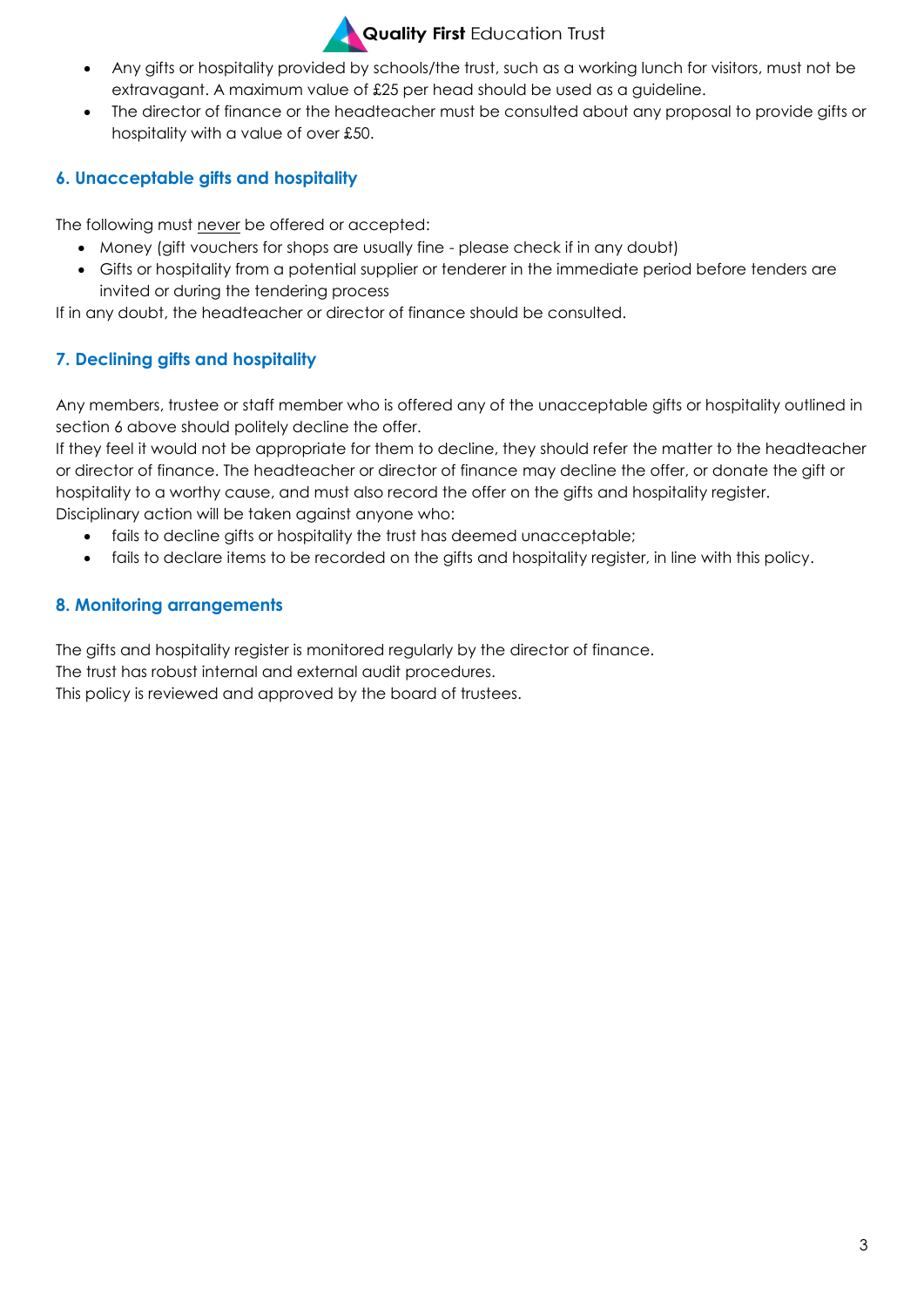

# **Quality First Education Trust**

- Any gifts or hospitality provided by schools/the trust, such as a working lunch for visitors, must not be extravagant. A maximum value of £25 per head should be used as a guideline.
- The director of finance or the headteacher must be consulted about any proposal to provide gifts or hospitality with a value of over £50.

## **6. Unacceptable gifts and hospitality**

The following must never be offered or accepted:

- Money (gift vouchers for shops are usually fine please check if in any doubt)
- Gifts or hospitality from a potential supplier or tenderer in the immediate period before tenders are invited or during the tendering process

If in any doubt, the headteacher or director of finance should be consulted.

## **7. Declining gifts and hospitality**

Any members, trustee or staff member who is offered any of the unacceptable gifts or hospitality outlined in section 6 above should politely decline the offer.

If they feel it would not be appropriate for them to decline, they should refer the matter to the headteacher or director of finance. The headteacher or director of finance may decline the offer, or donate the gift or hospitality to a worthy cause, and must also record the offer on the gifts and hospitality register. Disciplinary action will be taken against anyone who:

- fails to decline gifts or hospitality the trust has deemed unacceptable;
- fails to declare items to be recorded on the gifts and hospitality register, in line with this policy.

## **8. Monitoring arrangements**

The gifts and hospitality register is monitored regularly by the director of finance.

The trust has robust internal and external audit procedures.

This policy is reviewed and approved by the board of trustees.